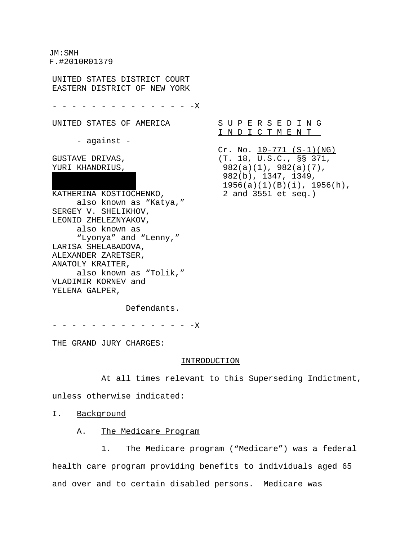JM:SMH F.#2010R01379

UNITED STATES DISTRICT COURT EASTERN DISTRICT OF NEW YORK

- - - - - - - - - - - - - - -X

UNITED STATES OF AMERICA

- against -

GUSTAVE DRIVAS, YURI KHANDRIUS,

KATHERINA KOSTIOCHENKO, also known as "Katya," SERGEY V. SHELIKHOV, LEONID ZHELEZNYAKOV, also known as "Lyonya" and "Lenny," LARISA SHELABADOVA, ALEXANDER ZARETSER, ANATOLY KRAITER, also known as "Tolik," VLADIMIR KORNEV and YELENA GALPER,

S U P E R S E D I N G I N D I C T M E N T

 $Cr. No. 10-771 (S-1)(NG)$ (T. 18, U.S.C., §§ 371, 982(a)(1), 982(a)(7), 982(b), 1347, 1349, 1956(a)(1)(B)(i), 1956(h), 2 and 3551 et seq.)

Defendants.

- - - - - - - - - - - - - X

THE GRAND JURY CHARGES:

#### INTRODUCTION

At all times relevant to this Superseding Indictment,

unless otherwise indicated:

I. Background

## A. The Medicare Program

1. The Medicare program ("Medicare") was a federal health care program providing benefits to individuals aged 65 and over and to certain disabled persons. Medicare was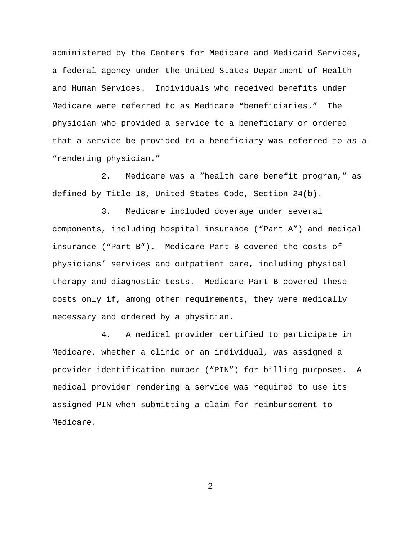administered by the Centers for Medicare and Medicaid Services, a federal agency under the United States Department of Health and Human Services. Individuals who received benefits under Medicare were referred to as Medicare "beneficiaries." The physician who provided a service to a beneficiary or ordered that a service be provided to a beneficiary was referred to as a "rendering physician."

2. Medicare was a "health care benefit program," as defined by Title 18, United States Code, Section 24(b).

3. Medicare included coverage under several components, including hospital insurance ("Part A") and medical insurance ("Part B"). Medicare Part B covered the costs of physicians' services and outpatient care, including physical therapy and diagnostic tests. Medicare Part B covered these costs only if, among other requirements, they were medically necessary and ordered by a physician.

4. A medical provider certified to participate in Medicare, whether a clinic or an individual, was assigned a provider identification number ("PIN") for billing purposes. A medical provider rendering a service was required to use its assigned PIN when submitting a claim for reimbursement to Medicare.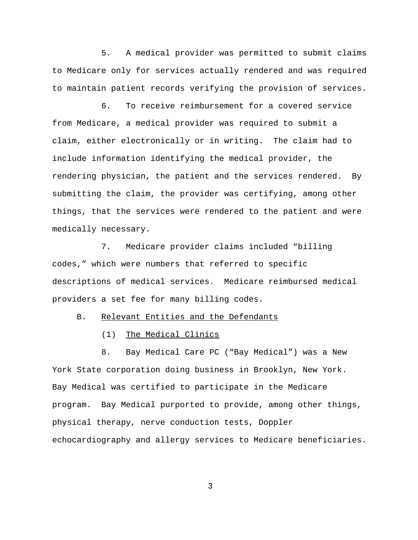5. A medical provider was permitted to submit claims to Medicare only for services actually rendered and was required to maintain patient records verifying the provision of services.

6. To receive reimbursement for a covered service from Medicare, a medical provider was required to submit a claim, either electronically or in writing. The claim had to include information identifying the medical provider, the rendering physician, the patient and the services rendered. By submitting the claim, the provider was certifying, among other things, that the services were rendered to the patient and were medically necessary.

7. Medicare provider claims included "billing codes," which were numbers that referred to specific descriptions of medical services. Medicare reimbursed medical providers a set fee for many billing codes.

B. Relevant Entities and the Defendants

(1) The Medical Clinics

8. Bay Medical Care PC ("Bay Medical") was a New York State corporation doing business in Brooklyn, New York. Bay Medical was certified to participate in the Medicare program. Bay Medical purported to provide, among other things, physical therapy, nerve conduction tests, Doppler echocardiography and allergy services to Medicare beneficiaries.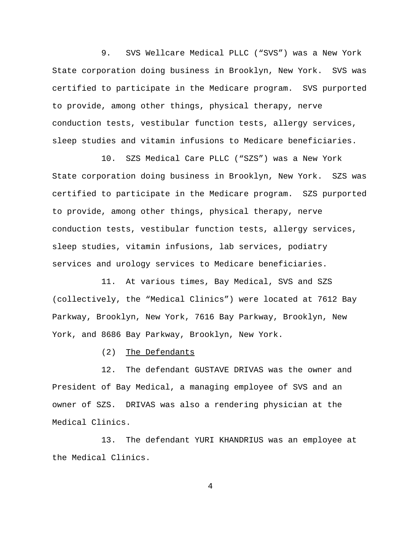9. SVS Wellcare Medical PLLC ("SVS") was a New York State corporation doing business in Brooklyn, New York. SVS was certified to participate in the Medicare program. SVS purported to provide, among other things, physical therapy, nerve conduction tests, vestibular function tests, allergy services, sleep studies and vitamin infusions to Medicare beneficiaries.

10. SZS Medical Care PLLC ("SZS") was a New York State corporation doing business in Brooklyn, New York. SZS was certified to participate in the Medicare program. SZS purported to provide, among other things, physical therapy, nerve conduction tests, vestibular function tests, allergy services, sleep studies, vitamin infusions, lab services, podiatry services and urology services to Medicare beneficiaries.

11. At various times, Bay Medical, SVS and SZS (collectively, the "Medical Clinics") were located at 7612 Bay Parkway, Brooklyn, New York, 7616 Bay Parkway, Brooklyn, New York, and 8686 Bay Parkway, Brooklyn, New York.

(2) The Defendants

12. The defendant GUSTAVE DRIVAS was the owner and President of Bay Medical, a managing employee of SVS and an owner of SZS. DRIVAS was also a rendering physician at the Medical Clinics.

13. The defendant YURI KHANDRIUS was an employee at the Medical Clinics.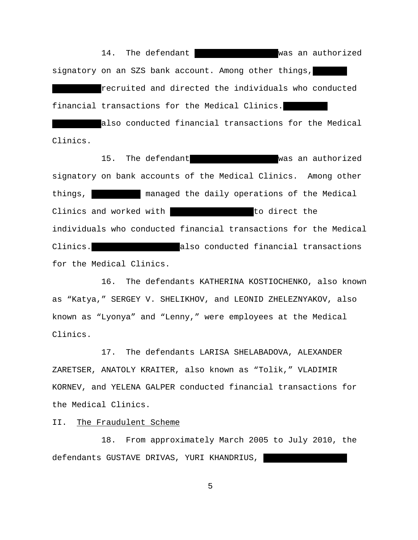14. The defendant Makedon an authorized signatory on an SZS bank account. Among other things, recruited and directed the individuals who conducted financial transactions for the Medical Clinics.

also conducted financial transactions for the Medical Clinics.

15. The defendant **IRINA SHELLINA SHELLINA SHELLINA SHELLINA SHELLINA SHELLINA SHELLINA SHELLINA SHELLINA SHELL** signatory on bank accounts of the Medical Clinics. Among other things, managed the daily operations of the Medical Clinics and worked with MAKSIM SHELLING to direct the individuals who conducted financial transactions for the Medical Clinics.  $\Box$  also conducted financial transactions for the Medical Clinics.

16. The defendants KATHERINA KOSTIOCHENKO, also known as "Katya," SERGEY V. SHELIKHOV, and LEONID ZHELEZNYAKOV, also known as "Lyonya" and "Lenny," were employees at the Medical Clinics.

17. The defendants LARISA SHELABADOVA, ALEXANDER ZARETSER, ANATOLY KRAITER, also known as "Tolik," VLADIMIR KORNEV, and YELENA GALPER conducted financial transactions for the Medical Clinics.

II. The Fraudulent Scheme

18. From approximately March 2005 to July 2010, the defendants GUSTAVE DRIVAS, YURI KHANDRIUS,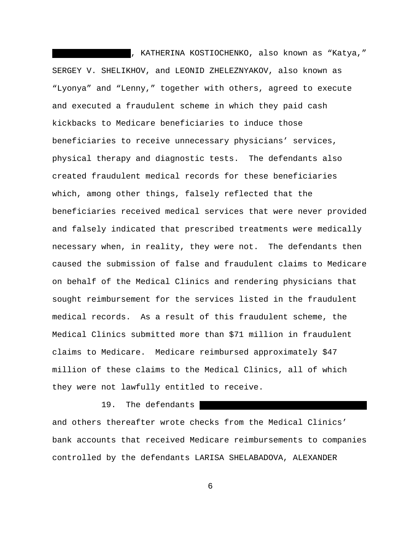, KATHERINA KOSTIOCHENKO, also known as "Katya," SERGEY V. SHELIKHOV, and LEONID ZHELEZNYAKOV, also known as "Lyonya" and "Lenny," together with others, agreed to execute and executed a fraudulent scheme in which they paid cash kickbacks to Medicare beneficiaries to induce those beneficiaries to receive unnecessary physicians' services, physical therapy and diagnostic tests. The defendants also created fraudulent medical records for these beneficiaries which, among other things, falsely reflected that the beneficiaries received medical services that were never provided and falsely indicated that prescribed treatments were medically necessary when, in reality, they were not. The defendants then caused the submission of false and fraudulent claims to Medicare on behalf of the Medical Clinics and rendering physicians that sought reimbursement for the services listed in the fraudulent medical records. As a result of this fraudulent scheme, the Medical Clinics submitted more than \$71 million in fraudulent claims to Medicare. Medicare reimbursed approximately \$47 million of these claims to the Medical Clinics, all of which they were not lawfully entitled to receive.

19. The defendants and others thereafter wrote checks from the Medical Clinics' bank accounts that received Medicare reimbursements to companies controlled by the defendants LARISA SHELABADOVA, ALEXANDER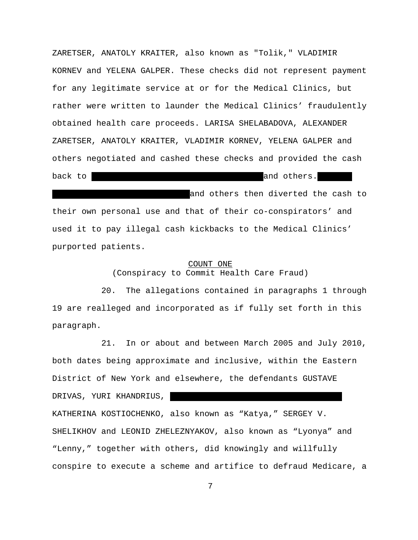ZARETSER, ANATOLY KRAITER, also known as "Tolik," VLADIMIR KORNEV and YELENA GALPER. These checks did not represent payment for any legitimate service at or for the Medical Clinics, but rather were written to launder the Medical Clinics' fraudulently obtained health care proceeds. LARISA SHELABADOVA, ALEXANDER ZARETSER, ANATOLY KRAITER, VLADIMIR KORNEV, YELENA GALPER and others negotiated and cashed these checks and provided the cash back to MAKSIM SHELLIKHOV, IRINA SHELIKHOVA and others. and others then diverted the cash to their own personal use and that of their co-conspirators' and used it to pay illegal cash kickbacks to the Medical Clinics' purported patients.

#### COUNT ONE

(Conspiracy to Commit Health Care Fraud)

20. The allegations contained in paragraphs 1 through 19 are realleged and incorporated as if fully set forth in this paragraph.

21. In or about and between March 2005 and July 2010, both dates being approximate and inclusive, within the Eastern District of New York and elsewhere, the defendants GUSTAVE DRIVAS, YURI KHANDRIUS, KATHERINA KOSTIOCHENKO, also known as "Katya," SERGEY V. SHELIKHOV and LEONID ZHELEZNYAKOV, also known as "Lyonya" and "Lenny," together with others, did knowingly and willfully conspire to execute a scheme and artifice to defraud Medicare, a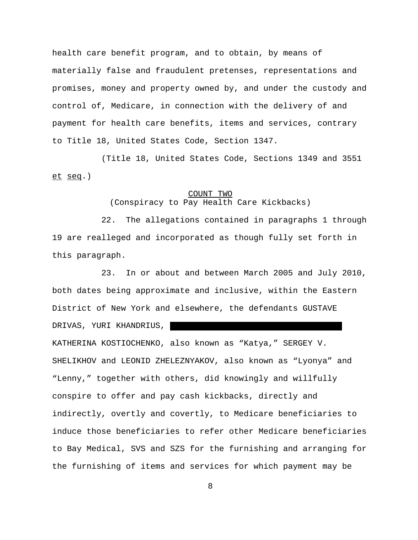health care benefit program, and to obtain, by means of materially false and fraudulent pretenses, representations and promises, money and property owned by, and under the custody and control of, Medicare, in connection with the delivery of and payment for health care benefits, items and services, contrary to Title 18, United States Code, Section 1347.

(Title 18, United States Code, Sections 1349 and 3551 et seq.)

## COUNT TWO

(Conspiracy to Pay Health Care Kickbacks)

22. The allegations contained in paragraphs 1 through 19 are realleged and incorporated as though fully set forth in this paragraph.

23. In or about and between March 2005 and July 2010, both dates being approximate and inclusive, within the Eastern District of New York and elsewhere, the defendants GUSTAVE DRIVAS, YURI KHANDRIUS, KATHERINA KOSTIOCHENKO, also known as "Katya," SERGEY V. SHELIKHOV and LEONID ZHELEZNYAKOV, also known as "Lyonya" and "Lenny," together with others, did knowingly and willfully conspire to offer and pay cash kickbacks, directly and indirectly, overtly and covertly, to Medicare beneficiaries to induce those beneficiaries to refer other Medicare beneficiaries to Bay Medical, SVS and SZS for the furnishing and arranging for the furnishing of items and services for which payment may be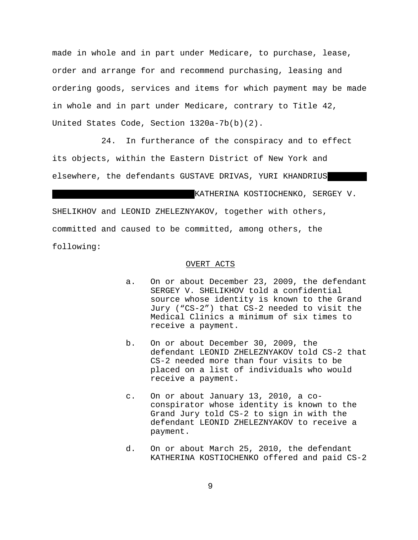made in whole and in part under Medicare, to purchase, lease, order and arrange for and recommend purchasing, leasing and ordering goods, services and items for which payment may be made in whole and in part under Medicare, contrary to Title 42, United States Code, Section 1320a-7b(b)(2).

24. In furtherance of the conspiracy and to effect its objects, within the Eastern District of New York and elsewhere, the defendants GUSTAVE DRIVAS, YURI KHANDRIUS KATHERINA KOSTIOCHENKO, SERGEY V. SHELIKHOV and LEONID ZHELEZNYAKOV, together with others, committed and caused to be committed, among others, the

following:

#### OVERT ACTS

- a. On or about December 23, 2009, the defendant SERGEY V. SHELIKHOV told a confidential source whose identity is known to the Grand Jury ("CS-2") that CS-2 needed to visit the Medical Clinics a minimum of six times to receive a payment.
- b. On or about December 30, 2009, the defendant LEONID ZHELEZNYAKOV told CS-2 that CS-2 needed more than four visits to be placed on a list of individuals who would receive a payment.
- c. On or about January 13, 2010, a coconspirator whose identity is known to the Grand Jury told CS-2 to sign in with the defendant LEONID ZHELEZNYAKOV to receive a payment.
- d. On or about March 25, 2010, the defendant KATHERINA KOSTIOCHENKO offered and paid CS-2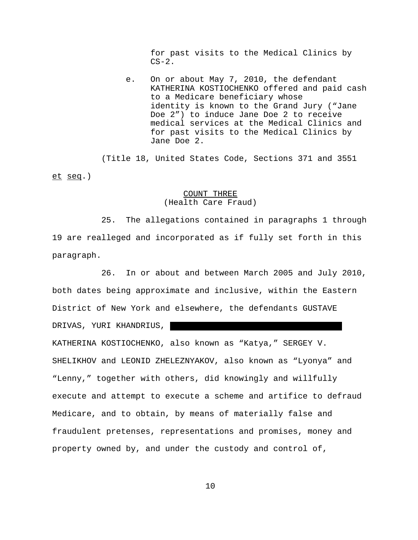for past visits to the Medical Clinics by  $CS-2.$ 

e. On or about May 7, 2010, the defendant KATHERINA KOSTIOCHENKO offered and paid cash to a Medicare beneficiary whose identity is known to the Grand Jury ("Jane Doe 2") to induce Jane Doe 2 to receive medical services at the Medical Clinics and for past visits to the Medical Clinics by Jane Doe 2.

(Title 18, United States Code, Sections 371 and 3551 et seq.)

## COUNT THREE (Health Care Fraud)

25. The allegations contained in paragraphs 1 through 19 are realleged and incorporated as if fully set forth in this paragraph.

26. In or about and between March 2005 and July 2010, both dates being approximate and inclusive, within the Eastern District of New York and elsewhere, the defendants GUSTAVE DRIVAS, YURI KHANDRIUS, KATHERINA KOSTIOCHENKO, also known as "Katya," SERGEY V. SHELIKHOV and LEONID ZHELEZNYAKOV, also known as "Lyonya" and "Lenny," together with others, did knowingly and willfully execute and attempt to execute a scheme and artifice to defraud Medicare, and to obtain, by means of materially false and fraudulent pretenses, representations and promises, money and property owned by, and under the custody and control of,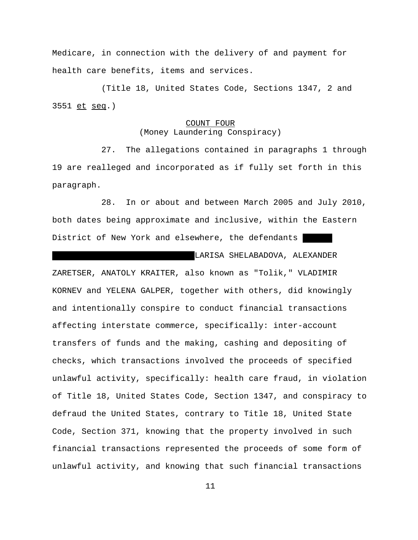Medicare, in connection with the delivery of and payment for health care benefits, items and services.

(Title 18, United States Code, Sections 1347, 2 and 3551 et seq.)

# COUNT FOUR (Money Laundering Conspiracy)

27. The allegations contained in paragraphs 1 through 19 are realleged and incorporated as if fully set forth in this paragraph.

28. In or about and between March 2005 and July 2010, both dates being approximate and inclusive, within the Eastern District of New York and elsewhere, the defendants

LARISA SHELABADOVA, ALEXANDER ZARETSER, ANATOLY KRAITER, also known as "Tolik," VLADIMIR KORNEV and YELENA GALPER, together with others, did knowingly and intentionally conspire to conduct financial transactions affecting interstate commerce, specifically: inter-account transfers of funds and the making, cashing and depositing of checks, which transactions involved the proceeds of specified unlawful activity, specifically: health care fraud, in violation of Title 18, United States Code, Section 1347, and conspiracy to defraud the United States, contrary to Title 18, United State Code, Section 371, knowing that the property involved in such financial transactions represented the proceeds of some form of unlawful activity, and knowing that such financial transactions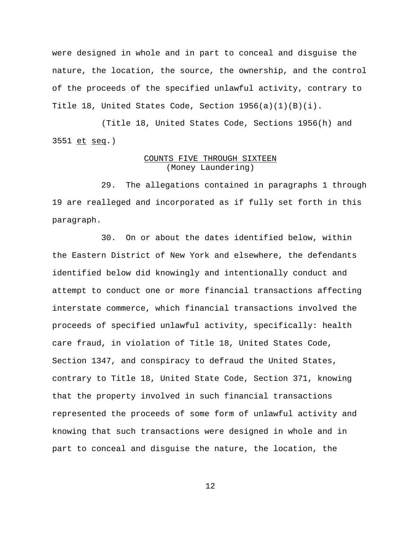were designed in whole and in part to conceal and disguise the nature, the location, the source, the ownership, and the control of the proceeds of the specified unlawful activity, contrary to Title 18, United States Code, Section  $1956(a)(1)(B)(i)$ .

(Title 18, United States Code, Sections 1956(h) and 3551 et seq.)

# COUNTS FIVE THROUGH SIXTEEN (Money Laundering)

 29. The allegations contained in paragraphs 1 through 19 are realleged and incorporated as if fully set forth in this paragraph.

30. On or about the dates identified below, within the Eastern District of New York and elsewhere, the defendants identified below did knowingly and intentionally conduct and attempt to conduct one or more financial transactions affecting interstate commerce, which financial transactions involved the proceeds of specified unlawful activity, specifically: health care fraud, in violation of Title 18, United States Code, Section 1347, and conspiracy to defraud the United States, contrary to Title 18, United State Code, Section 371, knowing that the property involved in such financial transactions represented the proceeds of some form of unlawful activity and knowing that such transactions were designed in whole and in part to conceal and disguise the nature, the location, the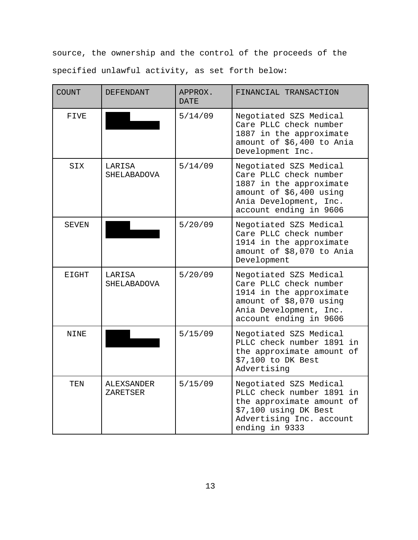source, the ownership and the control of the proceeds of the specified unlawful activity, as set forth below:

| COUNT        | DEFENDANT                    | APPROX.<br><b>DATE</b> | FINANCIAL TRANSACTION                                                                                                                                      |
|--------------|------------------------------|------------------------|------------------------------------------------------------------------------------------------------------------------------------------------------------|
| FIVE         |                              | 5/14/09                | Negotiated SZS Medical<br>Care PLLC check number<br>1887 in the approximate<br>amount of \$6,400 to Ania<br>Development Inc.                               |
| SIX          | LARISA<br>SHELABADOVA        | 5/14/09                | Negotiated SZS Medical<br>Care PLLC check number<br>1887 in the approximate<br>amount of \$6,400 using<br>Ania Development, Inc.<br>account ending in 9606 |
| SEVEN        |                              | 5/20/09                | Negotiated SZS Medical<br>Care PLLC check number<br>1914 in the approximate<br>amount of \$8,070 to Ania<br>Development                                    |
| <b>EIGHT</b> | LARISA<br><b>SHELABADOVA</b> | 5/20/09                | Negotiated SZS Medical<br>Care PLLC check number<br>1914 in the approximate<br>amount of \$8,070 using<br>Ania Development, Inc.<br>account ending in 9606 |
| NINE         |                              | 5/15/09                | Negotiated SZS Medical<br>PLLC check number 1891 in<br>the approximate amount of<br>\$7,100 to DK Best<br>Advertising                                      |
| TEN          | ALEXSANDER<br>ZARETSER       | 5/15/09                | Negotiated SZS Medical<br>PLLC check number 1891 in<br>the approximate amount of<br>\$7,100 using DK Best<br>Advertising Inc. account<br>ending in 9333    |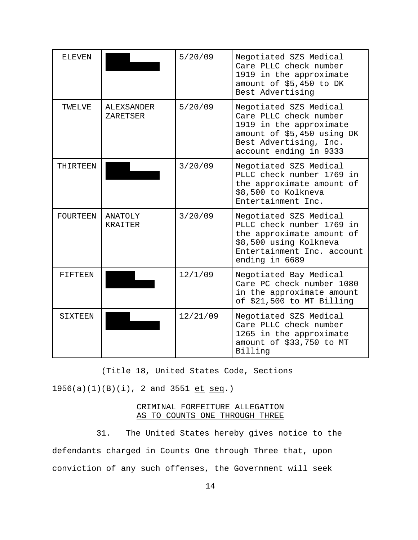| <b>ELEVEN</b>   |                                  | 5/20/09  | Negotiated SZS Medical<br>Care PLLC check number<br>1919 in the approximate<br>amount of \$5,450 to DK<br>Best Advertising                                    |
|-----------------|----------------------------------|----------|---------------------------------------------------------------------------------------------------------------------------------------------------------------|
| TWELVE          | <b>ALEXSANDER</b><br>ZARETSER    | 5/20/09  | Negotiated SZS Medical<br>Care PLLC check number<br>1919 in the approximate<br>amount of \$5,450 using DK<br>Best Advertising, Inc.<br>account ending in 9333 |
| THIRTEEN        |                                  | 3/20/09  | Negotiated SZS Medical<br>PLLC check number 1769 in<br>the approximate amount of<br>\$8,500 to Kolkneva<br>Entertainment Inc.                                 |
| <b>FOURTEEN</b> | <b>ANATOLY</b><br><b>KRATTER</b> | 3/20/09  | Negotiated SZS Medical<br>PLLC check number 1769 in<br>the approximate amount of<br>\$8,500 using Kolkneva<br>Entertainment Inc. account<br>ending in 6689    |
| FIFTEEN         |                                  | 12/1/09  | Negotiated Bay Medical<br>Care PC check number 1080<br>in the approximate amount<br>of \$21,500 to MT Billing                                                 |
| SIXTEEN         |                                  | 12/21/09 | Negotiated SZS Medical<br>Care PLLC check number<br>1265 in the approximate<br>amount of \$33,750 to MT<br>Billing                                            |

(Title 18, United States Code, Sections

 $1956(a)(1)(B)(i)$ , 2 and  $3551$  et seq.)

# CRIMINAL FORFEITURE ALLEGATION AS TO COUNTS ONE THROUGH THREE

 31. The United States hereby gives notice to the defendants charged in Counts One through Three that, upon conviction of any such offenses, the Government will seek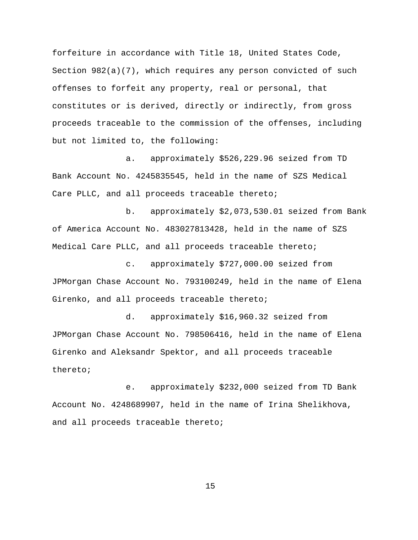forfeiture in accordance with Title 18, United States Code, Section  $982(a)(7)$ , which requires any person convicted of such offenses to forfeit any property, real or personal, that constitutes or is derived, directly or indirectly, from gross proceeds traceable to the commission of the offenses, including but not limited to, the following:

a. approximately \$526,229.96 seized from TD Bank Account No. 4245835545, held in the name of SZS Medical Care PLLC, and all proceeds traceable thereto;

b. approximately \$2,073,530.01 seized from Bank of America Account No. 483027813428, held in the name of SZS Medical Care PLLC, and all proceeds traceable thereto;

c. approximately \$727,000.00 seized from JPMorgan Chase Account No. 793100249, held in the name of Elena Girenko, and all proceeds traceable thereto;

d. approximately \$16,960.32 seized from JPMorgan Chase Account No. 798506416, held in the name of Elena Girenko and Aleksandr Spektor, and all proceeds traceable thereto;

e. approximately \$232,000 seized from TD Bank Account No. 4248689907, held in the name of Irina Shelikhova, and all proceeds traceable thereto;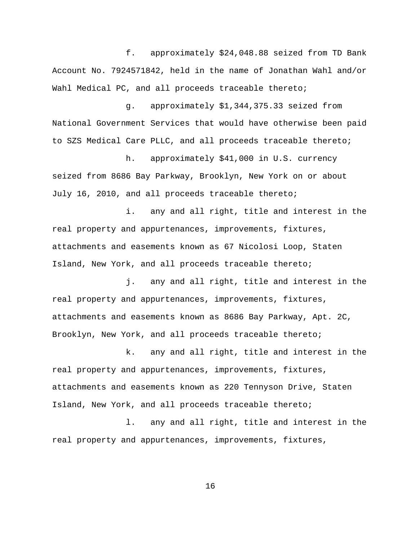f. approximately \$24,048.88 seized from TD Bank Account No. 7924571842, held in the name of Jonathan Wahl and/or Wahl Medical PC, and all proceeds traceable thereto;

g. approximately \$1,344,375.33 seized from National Government Services that would have otherwise been paid to SZS Medical Care PLLC, and all proceeds traceable thereto;

h. approximately \$41,000 in U.S. currency seized from 8686 Bay Parkway, Brooklyn, New York on or about July 16, 2010, and all proceeds traceable thereto;

i. any and all right, title and interest in the real property and appurtenances, improvements, fixtures, attachments and easements known as 67 Nicolosi Loop, Staten Island, New York, and all proceeds traceable thereto;

j. any and all right, title and interest in the real property and appurtenances, improvements, fixtures, attachments and easements known as 8686 Bay Parkway, Apt. 2C, Brooklyn, New York, and all proceeds traceable thereto;

k. any and all right, title and interest in the real property and appurtenances, improvements, fixtures, attachments and easements known as 220 Tennyson Drive, Staten Island, New York, and all proceeds traceable thereto;

l. any and all right, title and interest in the real property and appurtenances, improvements, fixtures,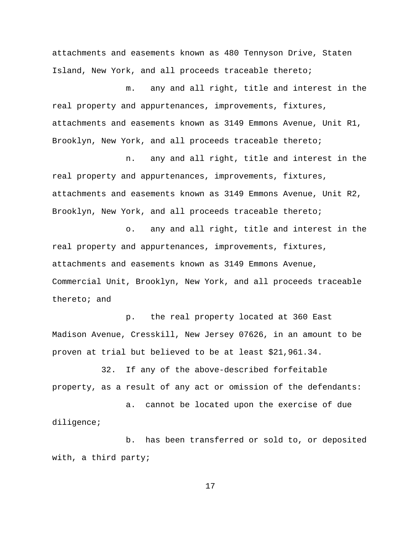attachments and easements known as 480 Tennyson Drive, Staten Island, New York, and all proceeds traceable thereto;

m. any and all right, title and interest in the real property and appurtenances, improvements, fixtures, attachments and easements known as 3149 Emmons Avenue, Unit R1, Brooklyn, New York, and all proceeds traceable thereto;

n. any and all right, title and interest in the real property and appurtenances, improvements, fixtures, attachments and easements known as 3149 Emmons Avenue, Unit R2, Brooklyn, New York, and all proceeds traceable thereto;

o. any and all right, title and interest in the real property and appurtenances, improvements, fixtures, attachments and easements known as 3149 Emmons Avenue, Commercial Unit, Brooklyn, New York, and all proceeds traceable thereto; and

p. the real property located at 360 East Madison Avenue, Cresskill, New Jersey 07626, in an amount to be proven at trial but believed to be at least \$21,961.34.

32. If any of the above-described forfeitable property, as a result of any act or omission of the defendants:

a. cannot be located upon the exercise of due diligence;

b. has been transferred or sold to, or deposited with, a third party;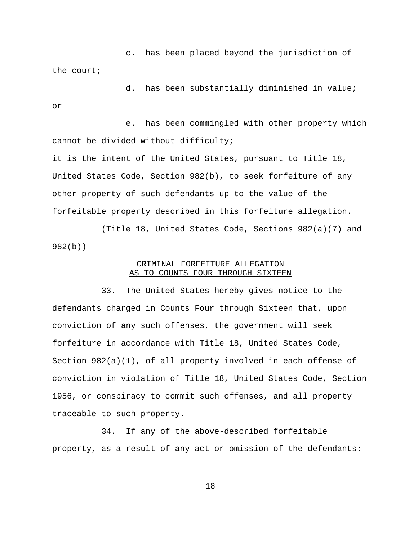c. has been placed beyond the jurisdiction of the court;

d. has been substantially diminished in value; or

e. has been commingled with other property which cannot be divided without difficulty; it is the intent of the United States, pursuant to Title 18, United States Code, Section 982(b), to seek forfeiture of any other property of such defendants up to the value of the forfeitable property described in this forfeiture allegation.

(Title 18, United States Code, Sections 982(a)(7) and 982(b))

## CRIMINAL FORFEITURE ALLEGATION AS TO COUNTS FOUR THROUGH SIXTEEN

33. The United States hereby gives notice to the defendants charged in Counts Four through Sixteen that, upon conviction of any such offenses, the government will seek forfeiture in accordance with Title 18, United States Code, Section  $982(a)(1)$ , of all property involved in each offense of conviction in violation of Title 18, United States Code, Section 1956, or conspiracy to commit such offenses, and all property traceable to such property.

34. If any of the above-described forfeitable property, as a result of any act or omission of the defendants: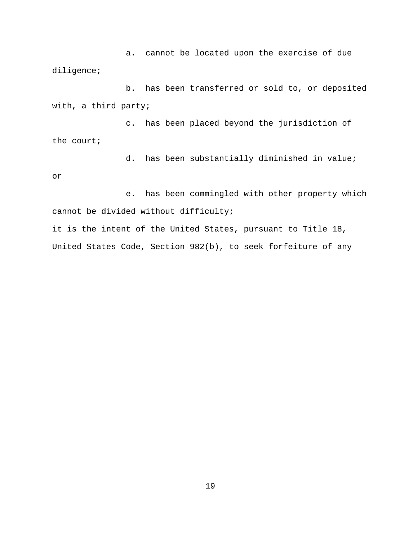a. cannot be located upon the exercise of due diligence;

b. has been transferred or sold to, or deposited with, a third party;

c. has been placed beyond the jurisdiction of the court;

or

d. has been substantially diminished in value;

e. has been commingled with other property which cannot be divided without difficulty;

it is the intent of the United States, pursuant to Title 18, United States Code, Section 982(b), to seek forfeiture of any